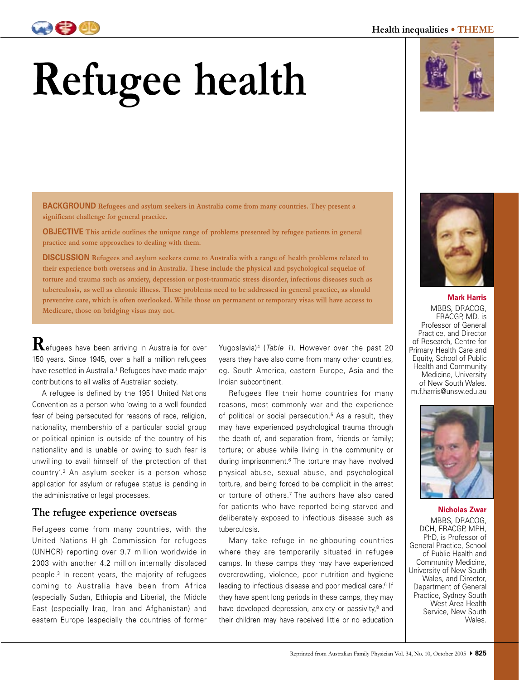# **Refugee health**

**BACKGROUND Refugees and asylum seekers in Australia come from many countries. They present a significant challenge for general practice.** 

**OBJECTIVE This article outlines the unique range of problems presented by refugee patients in general practice and some approaches to dealing with them.**

**DISCUSSION Refugees and asylum seekers come to Australia with a range of health problems related to their experience both overseas and in Australia. These include the physical and psychological sequelae of torture and trauma such as anxiety, depression or post-traumatic stress disorder, infectious diseases such as tuberculosis, as well as chronic illness. These problems need to be addressed in general practice, as should preventive care, which is often overlooked. While those on permanent or temporary visas will have access to Medicare, those on bridging visas may not.**

**R**efugees have been arriving in Australia for over 150 years. Since 1945, over a half a million refugees have resettled in Australia.<sup>1</sup> Refugees have made major contributions to all walks of Australian society.

 A refugee is defined by the 1951 United Nations Convention as a person who 'owing to a well founded fear of being persecuted for reasons of race, religion, nationality, membership of a particular social group or political opinion is outside of the country of his nationality and is unable or owing to such fear is unwilling to avail himself of the protection of that country'.2 An asylum seeker is a person whose application for asylum or refugee status is pending in the administrative or legal processes.

# **The refugee experience overseas**

Refugees come from many countries, with the United Nations High Commission for refugees (UNHCR) reporting over 9.7 million worldwide in 2003 with another 4.2 million internally displaced people.3 In recent years, the majority of refugees coming to Australia have been from Africa (especially Sudan, Ethiopia and Liberia), the Middle East (especially Iraq, Iran and Afghanistan) and eastern Europe (especially the countries of former Yugoslavia)<sup>4</sup> (Table 1). However over the past 20 years they have also come from many other countries, eg. South America, eastern Europe, Asia and the Indian subcontinent.

 Refugees flee their home countries for many reasons, most commonly war and the experience of political or social persecution.<sup>5</sup> As a result, they may have experienced psychological trauma through the death of, and separation from, friends or family; torture; or abuse while living in the community or during imprisonment.6 The torture may have involved physical abuse, sexual abuse, and psychological torture, and being forced to be complicit in the arrest or torture of others.7 The authors have also cared for patients who have reported being starved and deliberately exposed to infectious disease such as tuberculosis.

 Many take refuge in neighbouring countries where they are temporarily situated in refugee camps. In these camps they may have experienced overcrowding, violence, poor nutrition and hygiene leading to infectious disease and poor medical care.<sup>6</sup> If they have spent long periods in these camps, they may have developed depression, anxiety or passivity,<sup>8</sup> and their children may have received little or no education



**Mark Harris** MBBS, DRACOG, FRACGP, MD, is Professor of General Practice, and Director of Research, Centre for Primary Health Care and Equity, School of Public Health and Community Medicine, University of New South Wales. m.f.harris@unsw.edu.au





**Nicholas Zwar** MBBS, DRACOG, DCH, FRACGP, MPH, PhD, is Professor of General Practice, School of Public Health and Community Medicine, University of New South Wales, and Director, Department of General Practice, Sydney South West Area Health Service, New South

Wales.



### **Health inequalities • THEME**

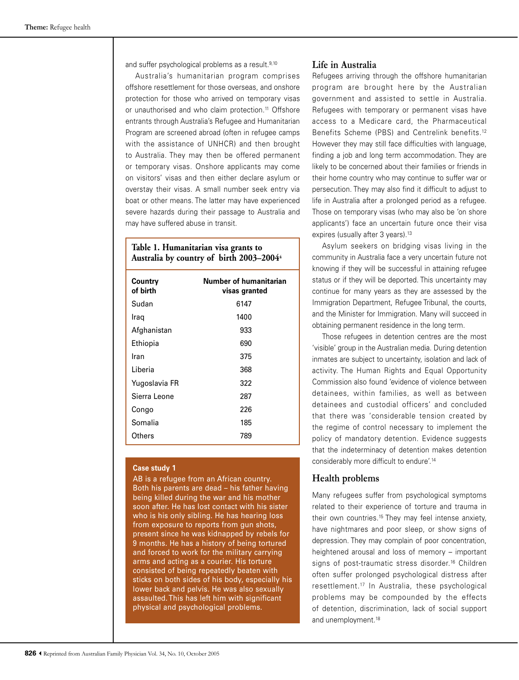and suffer psychological problems as a result.<sup>9,10</sup>

 Australia's humanitarian program comprises offshore resettlement for those overseas, and onshore protection for those who arrived on temporary visas or unauthorised and who claim protection.<sup>11</sup> Offshore entrants through Australia's Refugee and Humanitarian Program are screened abroad (often in refugee camps with the assistance of UNHCR) and then brought to Australia. They may then be offered permanent or temporary visas. Onshore applicants may come on visitors' visas and then either declare asylum or overstay their visas. A small number seek entry via boat or other means. The latter may have experienced severe hazards during their passage to Australia and may have suffered abuse in transit.

## **Table 1. Humanitarian visa grants to Australia by country of birth 2003–20044**

| Country<br>of birth | Number of humanitarian<br>visas granted |
|---------------------|-----------------------------------------|
| Sudan               | 6147                                    |
| Iraq                | 1400                                    |
| Afghanistan         | 933                                     |
| Ethiopia            | 690                                     |
| Iran                | 375                                     |
| Liberia             | 368                                     |
| Yugoslavia FR       | 322                                     |
| Sierra Leone        | 287                                     |
| Congo               | 226                                     |
| Somalia             | 185                                     |
| Others              | 789                                     |

#### **Case study 1**

AB is a refugee from an African country. Both his parents are dead – his father having being killed during the war and his mother soon after. He has lost contact with his sister who is his only sibling. He has hearing loss from exposure to reports from gun shots, present since he was kidnapped by rebels for 9 months. He has a history of being tortured and forced to work for the military carrying arms and acting as a courier. His torture consisted of being repeatedly beaten with sticks on both sides of his body, especially his lower back and pelvis. He was also sexually assaulted. This has left him with significant physical and psychological problems.

## **Life in Australia**

Refugees arriving through the offshore humanitarian program are brought here by the Australian government and assisted to settle in Australia. Refugees with temporary or permanent visas have access to a Medicare card, the Pharmaceutical Benefits Scheme (PBS) and Centrelink benefits.12 However they may still face difficulties with language, finding a job and long term accommodation. They are likely to be concerned about their families or friends in their home country who may continue to suffer war or persecution. They may also find it difficult to adjust to life in Australia after a prolonged period as a refugee. Those on temporary visas (who may also be 'on shore applicants') face an uncertain future once their visa expires (usually after 3 years).<sup>13</sup>

 Asylum seekers on bridging visas living in the community in Australia face a very uncertain future not knowing if they will be successful in attaining refugee status or if they will be deported. This uncertainty may continue for many years as they are assessed by the Immigration Department, Refugee Tribunal, the courts, and the Minister for Immigration. Many will succeed in obtaining permanent residence in the long term.

 Those refugees in detention centres are the most 'visible' group in the Australian media. During detention inmates are subject to uncertainty, isolation and lack of activity. The Human Rights and Equal Opportunity Commission also found 'evidence of violence between detainees, within families, as well as between detainees and custodial officers' and concluded that there was 'considerable tension created by the regime of control necessary to implement the policy of mandatory detention. Evidence suggests that the indeterminacy of detention makes detention considerably more difficult to endure'.14

## **Health problems**

Many refugees suffer from psychological symptoms related to their experience of torture and trauma in their own countries.15 They may feel intense anxiety, have nightmares and poor sleep, or show signs of depression. They may complain of poor concentration, heightened arousal and loss of memory – important signs of post-traumatic stress disorder.<sup>16</sup> Children often suffer prolonged psychological distress after resettlement.17 In Australia, these psychological problems may be compounded by the effects of detention, discrimination, lack of social support and unemployment.<sup>18</sup>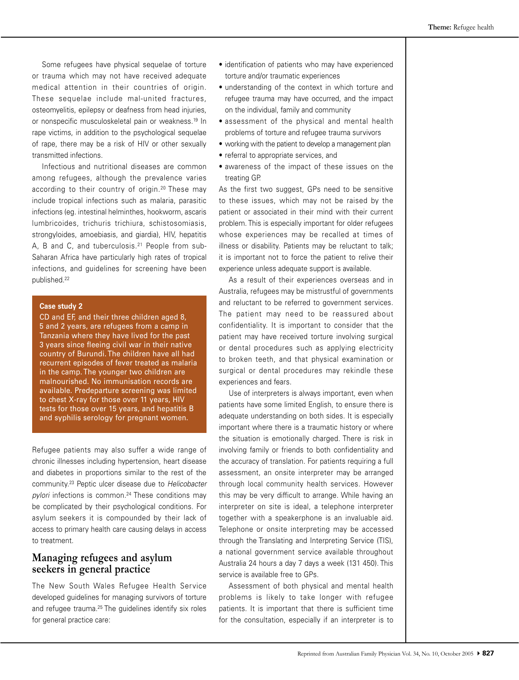Some refugees have physical sequelae of torture or trauma which may not have received adequate medical attention in their countries of origin. These sequelae include mal-united fractures, osteomyelitis, epilepsy or deafness from head injuries, or nonspecific musculoskeletal pain or weakness.19 In rape victims, in addition to the psychological sequelae of rape, there may be a risk of HIV or other sexually transmitted infections.

 Infectious and nutritional diseases are common among refugees, although the prevalence varies according to their country of origin.<sup>20</sup> These may include tropical infections such as malaria, parasitic infections (eg. intestinal helminthes, hookworm, ascaris lumbricoides, trichuris trichiura, schistosomiasis, strongyloides, amoebiasis, and giardia), HIV, hepatitis A, B and C, and tuberculosis.21 People from sub-Saharan Africa have particularly high rates of tropical infections, and guidelines for screening have been published.22

#### **Case study 2**

CD and EF, and their three children aged 8, 5 and 2 years, are refugees from a camp in Tanzania where they have lived for the past 3 years since fleeing civil war in their native country of Burundi. The children have all had recurrent episodes of fever treated as malaria in the camp. The younger two children are malnourished. No immunisation records are available. Predeparture screening was limited to chest X-ray for those over 11 years, HIV tests for those over 15 years, and hepatitis B and syphilis serology for pregnant women.

Refugee patients may also suffer a wide range of chronic illnesses including hypertension, heart disease and diabetes in proportions similar to the rest of the community.23 Peptic ulcer disease due to Helicobacter  $pylori$  infections is common.<sup>24</sup> These conditions may be complicated by their psychological conditions. For asylum seekers it is compounded by their lack of access to primary health care causing delays in access to treatment.

## **Managing refugees and asylum seekers in general practice**

The New South Wales Refugee Health Service developed guidelines for managing survivors of torture and refugee trauma.<sup>25</sup> The guidelines identify six roles for general practice care:

- identification of patients who may have experienced torture and/or traumatic experiences
- understanding of the context in which torture and refugee trauma may have occurred, and the impact on the individual, family and community
- assessment of the physical and mental health problems of torture and refugee trauma survivors
- working with the patient to develop a management plan
- referral to appropriate services, and
- awareness of the impact of these issues on the treating GP.

As the first two suggest, GPs need to be sensitive to these issues, which may not be raised by the patient or associated in their mind with their current problem. This is especially important for older refugees whose experiences may be recalled at times of illness or disability. Patients may be reluctant to talk; it is important not to force the patient to relive their experience unless adequate support is available.

 As a result of their experiences overseas and in Australia, refugees may be mistrustful of governments and reluctant to be referred to government services. The patient may need to be reassured about confidentiality. It is important to consider that the patient may have received torture involving surgical or dental procedures such as applying electricity to broken teeth, and that physical examination or surgical or dental procedures may rekindle these experiences and fears.

 Use of interpreters is always important, even when patients have some limited English, to ensure there is adequate understanding on both sides. It is especially important where there is a traumatic history or where the situation is emotionally charged. There is risk in involving family or friends to both confidentiality and the accuracy of translation. For patients requiring a full assessment, an onsite interpreter may be arranged through local community health services. However this may be very difficult to arrange. While having an interpreter on site is ideal, a telephone interpreter together with a speakerphone is an invaluable aid. Telephone or onsite interpreting may be accessed through the Translating and Interpreting Service (TIS), a national government service available throughout Australia 24 hours a day 7 days a week (131 450). This service is available free to GPs.

 Assessment of both physical and mental health problems is likely to take longer with refugee patients. It is important that there is sufficient time for the consultation, especially if an interpreter is to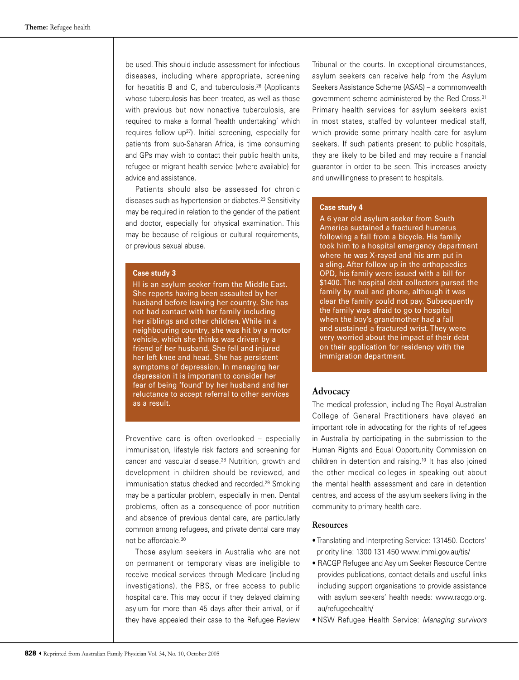be used. This should include assessment for infectious diseases, including where appropriate, screening for hepatitis B and C, and tuberculosis.26 (Applicants whose tuberculosis has been treated, as well as those with previous but now nonactive tuberculosis, are required to make a formal 'health undertaking' which requires follow up27). Initial screening, especially for patients from sub-Saharan Africa, is time consuming and GPs may wish to contact their public health units, refugee or migrant health service (where available) for advice and assistance.

 Patients should also be assessed for chronic diseases such as hypertension or diabetes.23 Sensitivity may be required in relation to the gender of the patient and doctor, especially for physical examination. This may be because of religious or cultural requirements, or previous sexual abuse.

#### **Case study 3**

HI is an asylum seeker from the Middle East. She reports having been assaulted by her husband before leaving her country. She has not had contact with her family including her siblings and other children. While in a neighbouring country, she was hit by a motor vehicle, which she thinks was driven by a friend of her husband. She fell and injured her left knee and head. She has persistent symptoms of depression. In managing her depression it is important to consider her fear of being 'found' by her husband and her reluctance to accept referral to other services as a result.

Preventive care is often overlooked – especially immunisation, lifestyle risk factors and screening for cancer and vascular disease.28 Nutrition, growth and development in children should be reviewed, and immunisation status checked and recorded.<sup>29</sup> Smoking may be a particular problem, especially in men. Dental problems, often as a consequence of poor nutrition and absence of previous dental care, are particularly common among refugees, and private dental care may not be affordable.30

 Those asylum seekers in Australia who are not on permanent or temporary visas are ineligible to receive medical services through Medicare (including investigations), the PBS, or free access to public hospital care. This may occur if they delayed claiming asylum for more than 45 days after their arrival, or if they have appealed their case to the Refugee Review

Tribunal or the courts. In exceptional circumstances, asylum seekers can receive help from the Asylum Seekers Assistance Scheme (ASAS) – a commonwealth government scheme administered by the Red Cross.31 Primary health services for asylum seekers exist in most states, staffed by volunteer medical staff, which provide some primary health care for asylum seekers. If such patients present to public hospitals, they are likely to be billed and may require a financial guarantor in order to be seen. This increases anxiety and unwillingness to present to hospitals.

#### **Case study 4**

A 6 year old asylum seeker from South America sustained a fractured humerus following a fall from a bicycle. His family took him to a hospital emergency department where he was X-rayed and his arm put in a sling. After follow up in the orthopaedics OPD, his family were issued with a bill for \$1400. The hospital debt collectors pursed the family by mail and phone, although it was clear the family could not pay. Subsequently the family was afraid to go to hospital when the boy's grandmother had a fall and sustained a fractured wrist. They were very worried about the impact of their debt on their application for residency with the immigration department.

## **Advocacy**

The medical profession, including The Royal Australian College of General Practitioners have played an important role in advocating for the rights of refugees in Australia by participating in the submission to the Human Rights and Equal Opportunity Commission on children in detention and raising.10 It has also joined the other medical colleges in speaking out about the mental health assessment and care in detention centres, and access of the asylum seekers living in the community to primary health care.

#### **Resources**

- Translating and Interpreting Service: 131450. Doctors' priority line: 1300 131 450 www.immi.gov.au/tis/
- RACGP Refugee and Asylum Seeker Resource Centre provides publications, contact details and useful links including support organisations to provide assistance with asylum seekers' health needs: www.racgp.org. au/refugeehealth/
- NSW Refugee Health Service: Managing survivors